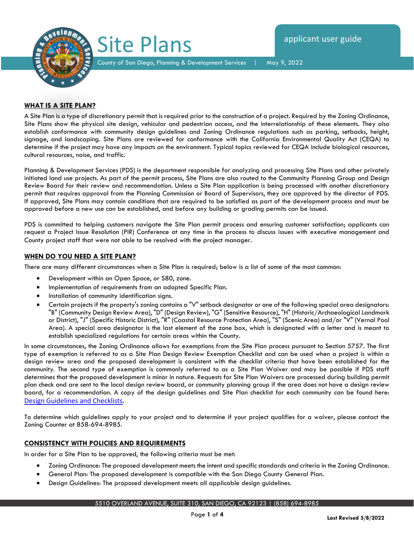

County of San Diego, Planning & Development Services | May 9, 2022

# **WHAT IS A SITE PLAN?**

A Site Plan is a type of discretionary permit that is required prior to the construction of a project. Required by the Zoning Ordinance, Site Plans show the physical site design, vehicular and pedestrian access, and the interrelationship of these elements. They also establish conformance with community design guidelines and Zoning Ordinance regulations such as parking, setbacks, height, signage, and landscaping. Site Plans are reviewed for conformance with the California Environmental Quality Act (CEQA) to determine if the project may have any impacts on the environment. Typical topics reviewed for CEQA include biological resources, cultural resources, noise, and traffic.

Planning & Development Services (PDS) is the department responsible for analyzing and processing Site Plans and other privately initiated land use projects. As part of the permit process, Site Plans are also routed to the Community Planning Group and Design Review Board for their review and recommendation. Unless a Site Plan application is being processed with another discretionary permit that requires approval from the Planning Commission or Board of Supervisors, they are approved by the director of PDS. If approved, Site Plans may contain conditions that are required to be satisfied as part of the development process and must be approved before a new use can be established, and before any building or grading permits can be issued.

PDS is committed to helping customers navigate the Site Plan permit process and ensuring customer satisfaction; applicants can request a Project Issue Resolution (PIR) Conference at any time in the process to discuss issues with executive management and County project staff that were not able to be resolved with the project manager.

# **WHEN DO YOU NEED A SITE PLAN?**

There are many different circumstances when a Site Plan is required; below is a list of some of the most common:

- Development within an Open Space, or S80, zone.
- Implementation of requirements from an adopted Specific Plan.
- Installation of community identification signs.
- Certain projects if the property's zoning contains a "V" setback designator or one of the following special area designators: "B" (Community Design Review Area), "D" (Design Review), "G" (Sensitive Resource), "H" (Historic/Archaeological Landmark or District), "J" (Specific Historic District), "R" (Coastal Resource Protection Area), "S" (Scenic Area) and/or "V" (Vernal Pool Area). A special area designator is the last element of the zone box, which is designated with a letter and is meant to establish specialized regulations for certain areas within the County.

In some circumstances, the Zoning Ordinance allows for exemptions from the Site Plan process pursuant to Section 5757. The first type of exemption is referred to as a Site Plan Design Review Exemption Checklist and can be used when a project is within a design review area and the proposed development is consistent with the checklist criteria that have been established for the community. The second type of exemption is commonly referred to as a Site Plan Waiver and may be possible if PDS staff determines that the proposed development is minor in nature. Requests for Site Plan Waivers are processed during building permit plan check and are sent to the local design review board, or community planning group if the area does not have a design review board, for a recommendation. A copy of the design guidelines and Site Plan checklist for each community can be found here: [Design Guidelines and Checklists](https://www.sandiegocounty.gov/content/sdc/pds/CommunityGroups.html).

To determine which guidelines apply to your project and to determine if your project qualifies for a waiver, please contact the Zoning Counter at 858-694-8985.

# **CONSISTENCY WITH POLICIES AND REQUIREMENTS**

In order for a Site Plan to be approved, the following criteria must be met:

- Zoning Ordinance: The proposed development meets the intent and specific standards and criteria in the Zoning Ordinance.
- General Plan: The proposed development is compatible with the San Diego County General Plan.
- Design Guidelines: The proposed development meets all applicable design guidelines.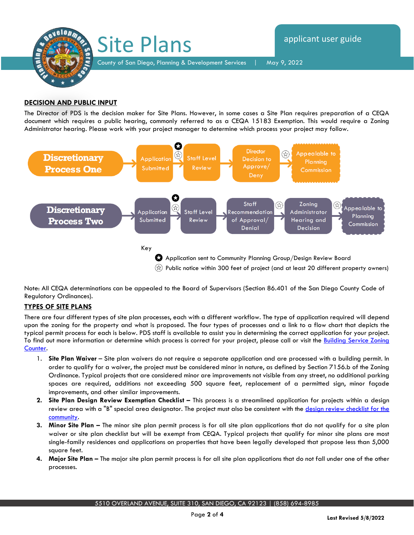

# **DECISION AND PUBLIC INPUT**

The Director of PDS is the decision maker for Site Plans. However, in some cases a Site Plan requires preparation of a CEQA document which requires a public hearing, commonly referred to as a CEQA 15183 Exemption. This would require a Zoning Administrator hearing. Please work with your project manager to determine which process your project may follow.



Note: All CEQA determinations can be appealed to the Board of Supervisors (Section 86.401 of the San Diego County Code of Regulatory Ordinances).

# **TYPES OF SITE PLANS**

There are four different types of site plan processes, each with a different workflow. The type of application required will depend upon the zoning for the property and what is proposed. The four types of processes and a link to a flow chart that depicts the typical permit process for each is below. PDS staff is available to assist you in determining the correct application for your project. To find out more information or determine which process is correct for your project, please call or visit the **Building Service Zoning** [Counter.](https://www.sandiegocounty.gov/content/sdc/pds/deptfile.html) 

- 1. **Site Plan Waiver**  Site plan waivers do not require a separate application and are processed with a building permit. In order to qualify for a waiver, the project must be considered minor in nature, as defined by Section 7156.b of the Zoning Ordinance. Typical projects that are considered minor are improvements not visible from any street, no additional parking spaces are required, additions not exceeding 500 square feet, replacement of a permitted sign, minor façade improvements, and other similar improvements.
- **2.** Site Plan Design Review Exemption Checklist This process is a streamlined application for projects within a design review area with a "B" special area designator. The project must also be consistent with the design review checklist for the [community.](https://www.sandiegocounty.gov/content/sdc/pds/CommunityGroups.html)
- **3. Minor Site Plan –** The minor site plan permit process is for all site plan applications that do not qualify for a site plan waiver or site plan checklist but will be exempt from CEQA. Typical projects that qualify for minor site plans are most single-family residences and applications on properties that have been legally developed that propose less than 5,000 square feet.
- **4. Major Site Plan –** The major site plan permit process is for all site plan applications that do not fall under one of the other processes.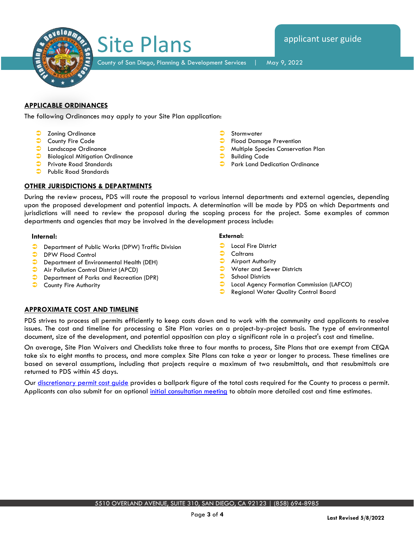

County of San Diego, Planning & Development Services | May 9, 2022

# **APPLICABLE ORDINANCES**

The following Ordinances may apply to your Site Plan application:

Site Plans

- **C** Zoning Ordinance
- County Fire Code
- **C** Landscape Ordinance
- **Biological Mitigation Ordinance**
- Private Road Standards
- Public Road Standards

# **OTHER JURISDICTIONS & DEPARTMENTS**

During the review process, PDS will route the proposal to various internal departments and external agencies, depending upon the proposed development and potential impacts. A determination will be made by PDS on which Departments and jurisdictions will need to review the proposal during the scoping process for the project. Some examples of common departments and agencies that may be involved in the development process include:

### **Internal:**

- **Department of Public Works (DPW) Traffic Division**
- **DPW Flood Control**
- **Department of Environmental Health (DEH)**
- **Air Pollution Control District (APCD)**
- **Department of Parks and Recreation (DPR)**
- **County Fire Authority**

#### **External:**

- Local Fire District
- Caltrans

Stormwater

Building Code

Flood Damage Prevention

Multiple Species Conservation Plan

Park Land Dedication Ordinance

- Airport Authority
- Water and Sewer Districts
- School Districts
- Local Agency Formation Commission (LAFCO)
- **C** Regional Water Quality Control Board

### **APPROXIMATE COST AND TIMELINE**

PDS strives to process all permits efficiently to keep costs down and to work with the community and applicants to resolve issues. The cost and timeline for processing a Site Plan varies on a project-by-project basis. The type of environmental document, size of the development, and potential opposition can play a significant role in a project's cost and timeline.

On average, Site Plan Waivers and Checklists take three to four months to process, Site Plans that are exempt from CEQA take six to eight months to process, and more complex Site Plans can take a year or longer to process. These timelines are based on several assumptions, including that projects require a maximum of two resubmittals, and that resubmittals are returned to PDS within 45 days.

Our [discretionary permit cost guide](https://www.sandiegocounty.gov/content/dam/sdc/pds/docs/Discretionary_Permit_Cost_Guide.xlsx) provides a ballpark figure of the total costs required for the County to process a permit. Applicants can also submit for an optional *initial consultation meeting* to obtain more detailed cost and time estimates.